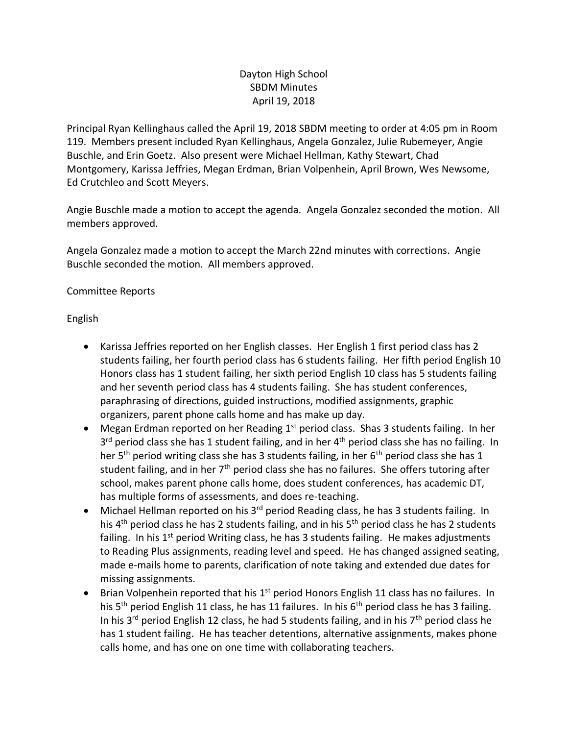# Dayton High School SBDM Minutes April 19, 2018

Principal Ryan Kellinghaus called the April 19, 2018 SBDM meeting to order at 4:05 pm in Room 119. Members present included Ryan Kellinghaus, Angela Gonzalez, Julie Rubemeyer, Angie Buschle, and Erin Goetz. Also present were Michael Hellman, Kathy Stewart, Chad Montgomery, Karissa Jeffries, Megan Erdman, Brian Volpenhein, April Brown, Wes Newsome, Ed Crutchleo and Scott Meyers.

Angie Buschle made a motion to accept the agenda. Angela Gonzalez seconded the motion. All members approved.

Angela Gonzalez made a motion to accept the March 22nd minutes with corrections. Angie Buschle seconded the motion. All members approved.

## Committee Reports

English

- Karissa Jeffries reported on her English classes. Her English 1 first period class has 2 students failing, her fourth period class has 6 students failing. Her fifth period English 10 Honors class has 1 student failing, her sixth period English 10 class has 5 students failing and her seventh period class has 4 students failing. She has student conferences, paraphrasing of directions, guided instructions, modified assignments, graphic organizers, parent phone calls home and has make up day.
- Megan Erdman reported on her Reading  $1<sup>st</sup>$  period class. Shas 3 students failing. In her 3<sup>rd</sup> period class she has 1 student failing, and in her 4<sup>th</sup> period class she has no failing. In her 5<sup>th</sup> period writing class she has 3 students failing, in her 6<sup>th</sup> period class she has 1 student failing, and in her 7<sup>th</sup> period class she has no failures. She offers tutoring after school, makes parent phone calls home, does student conferences, has academic DT, has multiple forms of assessments, and does re-teaching.
- Michael Hellman reported on his  $3^{rd}$  period Reading class, he has 3 students failing. In his 4<sup>th</sup> period class he has 2 students failing, and in his 5<sup>th</sup> period class he has 2 students failing. In his 1<sup>st</sup> period Writing class, he has 3 students failing. He makes adjustments to Reading Plus assignments, reading level and speed. He has changed assigned seating, made e-mails home to parents, clarification of note taking and extended due dates for missing assignments.
- Brian Volpenhein reported that his  $1<sup>st</sup>$  period Honors English 11 class has no failures. In his  $5<sup>th</sup>$  period English 11 class, he has 11 failures. In his  $6<sup>th</sup>$  period class he has 3 failing. In his 3<sup>rd</sup> period English 12 class, he had 5 students failing, and in his 7<sup>th</sup> period class he has 1 student failing. He has teacher detentions, alternative assignments, makes phone calls home, and has one on one time with collaborating teachers.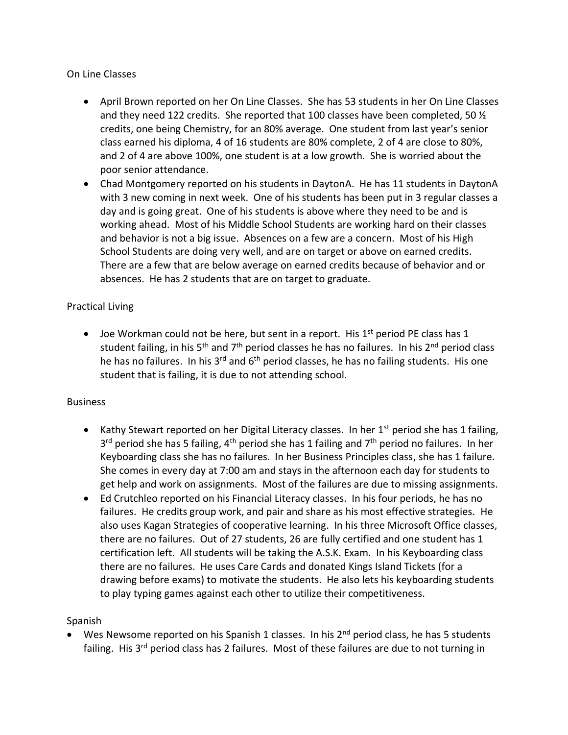## On Line Classes

- April Brown reported on her On Line Classes. She has 53 students in her On Line Classes and they need 122 credits. She reported that 100 classes have been completed, 50  $\frac{1}{2}$ credits, one being Chemistry, for an 80% average. One student from last year's senior class earned his diploma, 4 of 16 students are 80% complete, 2 of 4 are close to 80%, and 2 of 4 are above 100%, one student is at a low growth. She is worried about the poor senior attendance.
- Chad Montgomery reported on his students in DaytonA. He has 11 students in DaytonA with 3 new coming in next week. One of his students has been put in 3 regular classes a day and is going great. One of his students is above where they need to be and is working ahead. Most of his Middle School Students are working hard on their classes and behavior is not a big issue. Absences on a few are a concern. Most of his High School Students are doing very well, and are on target or above on earned credits. There are a few that are below average on earned credits because of behavior and or absences. He has 2 students that are on target to graduate.

### Practical Living

• Joe Workman could not be here, but sent in a report. His  $1<sup>st</sup>$  period PE class has 1 student failing, in his  $5<sup>th</sup>$  and  $7<sup>th</sup>$  period classes he has no failures. In his  $2<sup>nd</sup>$  period class he has no failures. In his  $3^{rd}$  and  $6^{th}$  period classes, he has no failing students. His one student that is failing, it is due to not attending school.

### **Business**

- Kathy Stewart reported on her Digital Literacy classes. In her  $1<sup>st</sup>$  period she has 1 failing, 3<sup>rd</sup> period she has 5 failing, 4<sup>th</sup> period she has 1 failing and 7<sup>th</sup> period no failures. In her Keyboarding class she has no failures. In her Business Principles class, she has 1 failure. She comes in every day at 7:00 am and stays in the afternoon each day for students to get help and work on assignments. Most of the failures are due to missing assignments.
- Ed Crutchleo reported on his Financial Literacy classes. In his four periods, he has no failures. He credits group work, and pair and share as his most effective strategies. He also uses Kagan Strategies of cooperative learning. In his three Microsoft Office classes, there are no failures. Out of 27 students, 26 are fully certified and one student has 1 certification left. All students will be taking the A.S.K. Exam. In his Keyboarding class there are no failures. He uses Care Cards and donated Kings Island Tickets (for a drawing before exams) to motivate the students. He also lets his keyboarding students to play typing games against each other to utilize their competitiveness.

### Spanish

Wes Newsome reported on his Spanish 1 classes. In his  $2<sup>nd</sup>$  period class, he has 5 students failing. His 3<sup>rd</sup> period class has 2 failures. Most of these failures are due to not turning in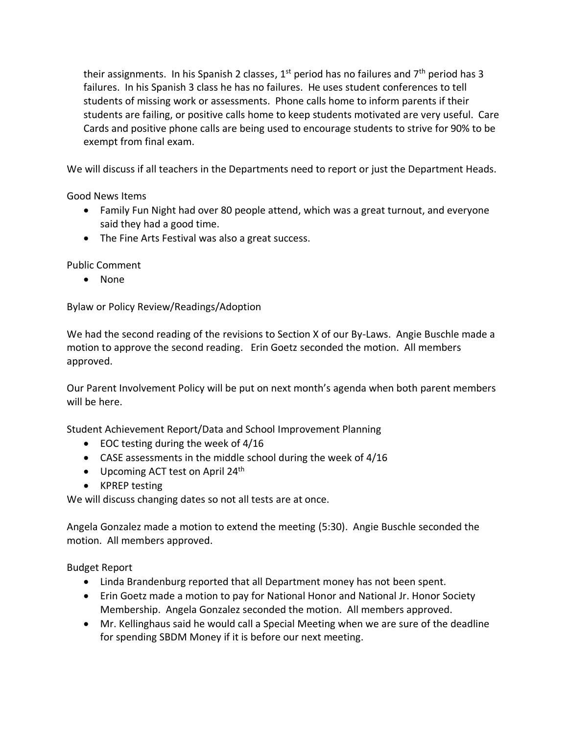their assignments. In his Spanish 2 classes,  $1^{st}$  period has no failures and  $7^{th}$  period has 3 failures. In his Spanish 3 class he has no failures. He uses student conferences to tell students of missing work or assessments. Phone calls home to inform parents if their students are failing, or positive calls home to keep students motivated are very useful. Care Cards and positive phone calls are being used to encourage students to strive for 90% to be exempt from final exam.

We will discuss if all teachers in the Departments need to report or just the Department Heads.

Good News Items

- Family Fun Night had over 80 people attend, which was a great turnout, and everyone said they had a good time.
- The Fine Arts Festival was also a great success.

Public Comment

• None

Bylaw or Policy Review/Readings/Adoption

We had the second reading of the revisions to Section X of our By-Laws. Angie Buschle made a motion to approve the second reading. Erin Goetz seconded the motion. All members approved.

Our Parent Involvement Policy will be put on next month's agenda when both parent members will be here.

Student Achievement Report/Data and School Improvement Planning

- EOC testing during the week of 4/16
- CASE assessments in the middle school during the week of 4/16
- Upcoming ACT test on April  $24<sup>th</sup>$
- KPREP testing

We will discuss changing dates so not all tests are at once.

Angela Gonzalez made a motion to extend the meeting (5:30). Angie Buschle seconded the motion. All members approved.

Budget Report

- Linda Brandenburg reported that all Department money has not been spent.
- Erin Goetz made a motion to pay for National Honor and National Jr. Honor Society Membership. Angela Gonzalez seconded the motion. All members approved.
- Mr. Kellinghaus said he would call a Special Meeting when we are sure of the deadline for spending SBDM Money if it is before our next meeting.